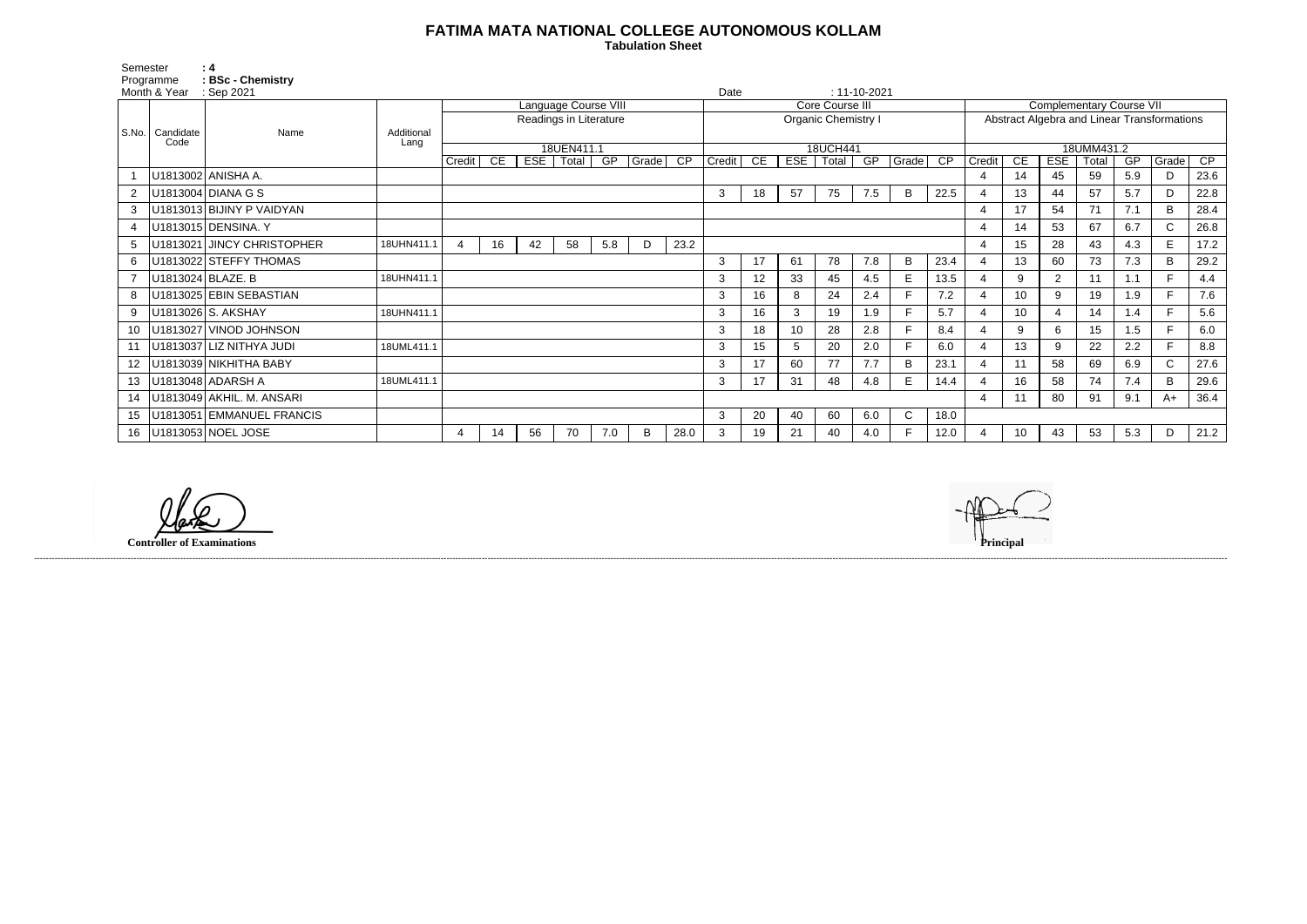## **FATIMA MATA NATIONAL COLLEGE AUTONOMOUS KOLLAM**

 **Tabulation Sheet** 

| Semester<br>Programme<br>Month & Year |                           | :4<br><b>BSc - Chemistry</b> |                    |                        |           |     |                       |     |                            |                 |               |      |     |              |                    |                                             |            |                |                 |                |       |     |              |      |
|---------------------------------------|---------------------------|------------------------------|--------------------|------------------------|-----------|-----|-----------------------|-----|----------------------------|-----------------|---------------|------|-----|--------------|--------------------|---------------------------------------------|------------|----------------|-----------------|----------------|-------|-----|--------------|------|
|                                       |                           | : Sep 2021                   |                    |                        |           |     |                       |     |                            |                 |               | Date |     |              | $: 11 - 10 - 2021$ |                                             |            |                |                 |                |       |     |              |      |
|                                       | S.No.   Candidate<br>Code | Name                         |                    | Language Course VIII   |           |     |                       |     | <b>Core Course III</b>     |                 |               |      |     |              |                    | <b>Complementary Course VII</b>             |            |                |                 |                |       |     |              |      |
|                                       |                           |                              | Additional<br>Lang | Readings in Literature |           |     |                       |     | <b>Organic Chemistry I</b> |                 |               |      |     |              |                    | Abstract Algebra and Linear Transformations |            |                |                 |                |       |     |              |      |
|                                       |                           |                              |                    |                        |           |     |                       |     |                            |                 |               |      |     |              |                    |                                             |            |                |                 |                |       |     |              |      |
|                                       |                           |                              |                    | 18UEN411.1             |           |     |                       |     |                            | 18UCH441        |               |      |     |              |                    |                                             | 18UMM431.2 |                |                 |                |       |     |              |      |
|                                       |                           |                              |                    |                        | Credit CE | EST | $\sqrt{\text{Total}}$ | GP  | Grade                      | $\overline{CP}$ | <b>Credit</b> | CE   | EST | <b>Total</b> |                    | GP Grade CP                                 |            | Credit         | CE              | <b>ESE</b>     | Total | GP  | Grade        | CP   |
|                                       |                           | U1813002 ANISHA A.           |                    |                        |           |     |                       |     |                            |                 |               |      |     |              |                    |                                             |            | $\overline{4}$ | 14              | 45             | 59    | 5.9 | D            | 23.6 |
| $\overline{2}$                        |                           | U1813004 DIANA G S           |                    |                        |           |     |                       |     |                            |                 | 3             | 18   | 57  | 75           | 7.5                | B                                           | 22.5       |                | 13              | 44             | 57    | 5.7 | D            | 22.8 |
| 3                                     |                           | U1813013 BIJINY P VAIDYAN    |                    |                        |           |     |                       |     |                            |                 |               |      |     |              |                    |                                             |            |                | 17              | 54             | 71    | 7.1 | B            | 28.4 |
|                                       |                           | U1813015 DENSINA. Y          |                    |                        |           |     |                       |     |                            |                 |               |      |     |              |                    |                                             |            | $\overline{4}$ | 14              | 53             | 67    | 6.7 | $\mathsf{C}$ | 26.8 |
| 5                                     |                           | U1813021 JINCY CHRISTOPHER   | 18UHN411.1         | $\overline{4}$         | 16        | 42  | 58                    | 5.8 | D                          | 23.2            |               |      |     |              |                    |                                             |            |                | 15              | 28             | 43    | 4.3 | E            | 17.2 |
| 6                                     |                           | U1813022 STEFFY THOMAS       |                    |                        |           |     |                       |     |                            |                 | 3             | 17   | 61  | 78           | 7.8                | B                                           | 23.4       |                | 13              | 60             | 73    | 7.3 | B            | 29.2 |
|                                       |                           | U1813024 BLAZE. B            | 18UHN411.1         |                        |           |     |                       |     |                            |                 | 3             | 12   | 33  | 45           | 4.5                | E.                                          | 13.5       |                | 9               | 2              | 11    | 1.1 | F.           | 4.4  |
| 8                                     |                           | U1813025 EBIN SEBASTIAN      |                    |                        |           |     |                       |     |                            |                 | 3             | 16   | 8   | 24           | 2.4                |                                             | 7.2        |                | 10 <sup>°</sup> | 9              | 19    | 1.9 |              | 7.6  |
| 9                                     |                           | U1813026 S. AKSHAY           | 18UHN411.1         |                        |           |     |                       |     |                            |                 | 3             | 16   | 3   | 19           | 1.9                |                                             | 5.7        |                | 10 <sup>°</sup> | $\overline{4}$ | 14    | 1.4 | F            | 5.6  |
| 10                                    |                           | U1813027 VINOD JOHNSON       |                    |                        |           |     |                       |     |                            |                 | 3             | 18   | 10  | 28           | 2.8                |                                             | 8.4        |                | 9               | 6              | 15    | 1.5 | E            | 6.0  |
|                                       |                           | U1813037 LIZ NITHYA JUDI     | 18UML411.1         |                        |           |     |                       |     |                            |                 | 3             | 15   | 5   | 20           | 2.0                | E                                           | 6.0        |                | 13              | 9              | 22    | 2.2 |              | 8.8  |
| 12 <sup>°</sup>                       |                           | U1813039 NIKHITHA BABY       |                    |                        |           |     |                       |     |                            |                 | 3             | 17   | 60  | 77           | 7.7                | B                                           | 23.1       |                |                 | 58             | 69    | 6.9 | $\mathsf{C}$ | 27.6 |
| 13                                    |                           | U1813048 ADARSH A            | 18UML411.1         |                        |           |     |                       |     |                            |                 | 3             | 17   | 31  | 48           | 4.8                | E.                                          | 14.4       |                | 16              | 58             | 74    | 7.4 | B            | 29.6 |
| 14                                    |                           | U1813049 AKHIL. M. ANSARI    |                    |                        |           |     |                       |     |                            |                 |               |      |     |              |                    |                                             |            | $\overline{4}$ |                 | 80             | 91    | 9.1 | A+           | 36.4 |
| 15                                    |                           | U1813051 EMMANUEL FRANCIS    |                    |                        |           |     |                       |     |                            |                 | 3             | 20   | 40  | 60           | 6.0                | $\mathsf{C}$                                | 18.0       |                |                 |                |       |     |              |      |
| 16                                    |                           | U1813053 NOEL JOSE           |                    | 4                      | 14        | 56  | 70                    | 7.0 | B                          | 28.0            |               | 19   | 21  | 40           | 4.0                |                                             | 12.0       |                | 10              | 43             | 53    | 5.3 | D            | 21.2 |

------------------------------------------------------------------------------------------------------------------------------------------------------------------------------------------------------------------------------------------------------------------------------------------------------------------------------------------------------------------------------------------------------------------------

**Controller of Examinations**